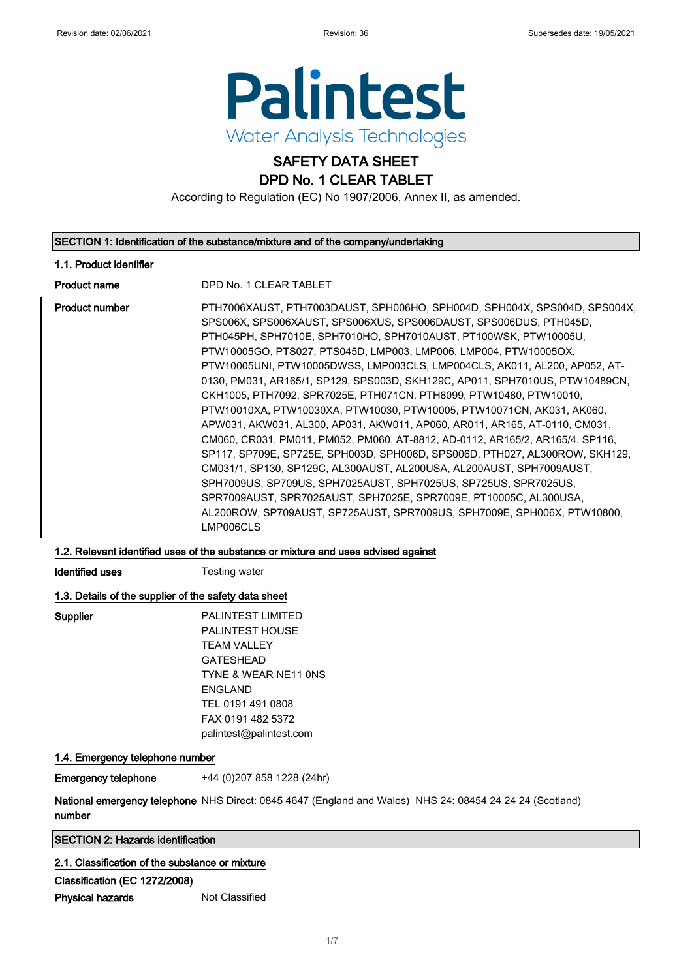

## SAFETY DATA SHEET DPD No. 1 CLEAR TABLET

According to Regulation (EC) No 1907/2006, Annex II, as amended.

### SECTION 1: Identification of the substance/mixture and of the company/undertaking

## 1.1. Product identifier

Product name DPD No. 1 CLEAR TABLET

Product number **PTH7006XAUST, PTH7003DAUST, SPH006HO, SPH004D, SPH004X, SPS004D, SPS004X,** SPS006X, SPS006XAUST, SPS006XUS, SPS006DAUST, SPS006DUS, PTH045D, PTH045PH, SPH7010E, SPH7010HO, SPH7010AUST, PT100WSK, PTW10005U, PTW10005GO, PTS027, PTS045D, LMP003, LMP006, LMP004, PTW10005OX, PTW10005UNI, PTW10005DWSS, LMP003CLS, LMP004CLS, AK011, AL200, AP052, AT-0130, PM031, AR165/1, SP129, SPS003D, SKH129C, AP011, SPH7010US, PTW10489CN, CKH1005, PTH7092, SPR7025E, PTH071CN, PTH8099, PTW10480, PTW10010, PTW10010XA, PTW10030XA, PTW10030, PTW10005, PTW10071CN, AK031, AK060, APW031, AKW031, AL300, AP031, AKW011, AP060, AR011, AR165, AT-0110, CM031, CM060, CR031, PM011, PM052, PM060, AT-8812, AD-0112, AR165/2, AR165/4, SP116, SP117, SP709E, SP725E, SPH003D, SPH006D, SPS006D, PTH027, AL300ROW, SKH129, CM031/1, SP130, SP129C, AL300AUST, AL200USA, AL200AUST, SPH7009AUST, SPH7009US, SP709US, SPH7025AUST, SPH7025US, SP725US, SPR7025US, SPR7009AUST, SPR7025AUST, SPH7025E, SPR7009E, PT10005C, AL300USA, AL200ROW, SP709AUST, SP725AUST, SPR7009US, SPH7009E, SPH006X, PTW10800, LMP006CLS

## 1.2. Relevant identified uses of the substance or mixture and uses advised against

**Identified uses** Testing water

## 1.3. Details of the supplier of the safety data sheet

| Supplier | <b>PALINTEST LIMITED</b> |
|----------|--------------------------|
|          |                          |
|          | <b>PALINTEST HOUSE</b>   |
|          | TFAM VALLEY              |
|          | <b>GATESHEAD</b>         |
|          | TYNE & WEAR NE11 ONS     |
|          | <b>FNGI AND</b>          |
|          | TEL 0191 491 0808        |
|          | FAX 0191 482 5372        |
|          | palintest@palintest.com  |
|          |                          |

## 1.4. Emergency telephone number

Emergency telephone +44 (0)207 858 1228 (24hr)

**National emergency telephone** NHS Direct: 0845 4647 (England and Wales) NHS 24: 08454 24 24 24 (Scotland) number

## SECTION 2: Hazards identification

## 2.1. Classification of the substance or mixture

Classification (EC 1272/2008)

**Physical hazards** Not Classified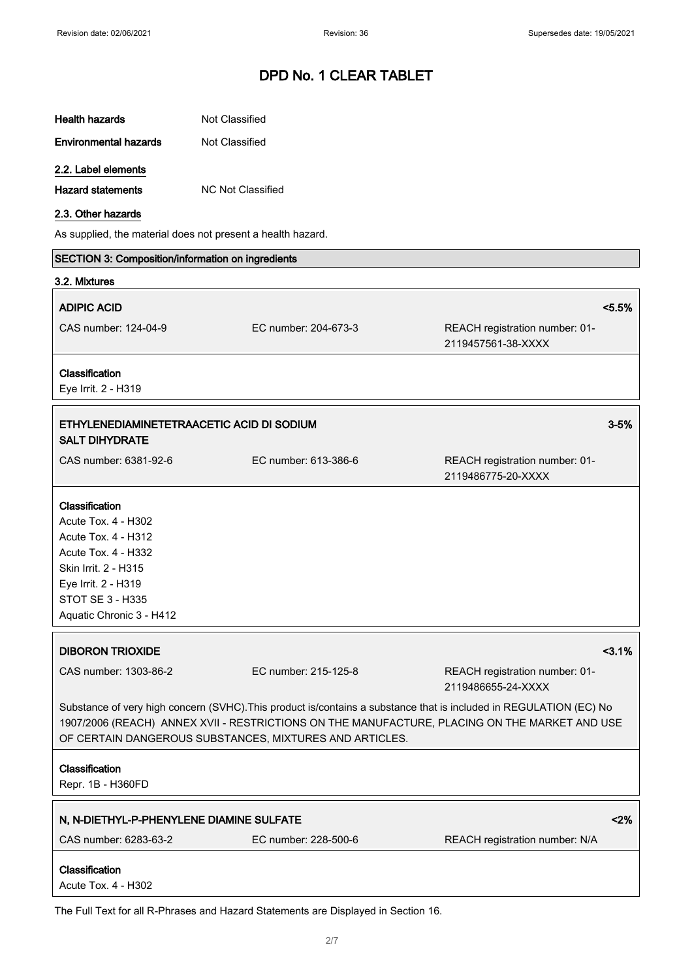| <b>Health hazards</b>                                                                                                                                                                                                                                                          | Not Classified           |                                                      |
|--------------------------------------------------------------------------------------------------------------------------------------------------------------------------------------------------------------------------------------------------------------------------------|--------------------------|------------------------------------------------------|
| <b>Environmental hazards</b>                                                                                                                                                                                                                                                   | Not Classified           |                                                      |
| 2.2. Label elements                                                                                                                                                                                                                                                            |                          |                                                      |
| <b>Hazard statements</b>                                                                                                                                                                                                                                                       | <b>NC Not Classified</b> |                                                      |
| 2.3. Other hazards                                                                                                                                                                                                                                                             |                          |                                                      |
| As supplied, the material does not present a health hazard.                                                                                                                                                                                                                    |                          |                                                      |
| SECTION 3: Composition/information on ingredients                                                                                                                                                                                                                              |                          |                                                      |
| 3.2. Mixtures                                                                                                                                                                                                                                                                  |                          |                                                      |
| <b>ADIPIC ACID</b>                                                                                                                                                                                                                                                             |                          | < 5.5%                                               |
| CAS number: 124-04-9                                                                                                                                                                                                                                                           | EC number: 204-673-3     | REACH registration number: 01-<br>2119457561-38-XXXX |
| Classification<br>Eye Irrit. 2 - H319                                                                                                                                                                                                                                          |                          |                                                      |
| ETHYLENEDIAMINETETRAACETIC ACID DI SODIUM<br><b>SALT DIHYDRATE</b>                                                                                                                                                                                                             |                          | $3 - 5%$                                             |
| CAS number: 6381-92-6                                                                                                                                                                                                                                                          | EC number: 613-386-6     | REACH registration number: 01-<br>2119486775-20-XXXX |
| Classification<br><b>Acute Tox. 4 - H302</b><br><b>Acute Tox. 4 - H312</b><br>Acute Tox. 4 - H332<br>Skin Irrit. 2 - H315<br>Eye Irrit. 2 - H319<br>STOT SE 3 - H335<br>Aquatic Chronic 3 - H412                                                                               |                          |                                                      |
| <b>DIBORON TRIOXIDE</b>                                                                                                                                                                                                                                                        |                          | $3.1%$                                               |
| CAS number: 1303-86-2                                                                                                                                                                                                                                                          | EC number: 215-125-8     | REACH registration number: 01-<br>2119486655-24-XXXX |
| Substance of very high concern (SVHC). This product is/contains a substance that is included in REGULATION (EC) No<br>1907/2006 (REACH) ANNEX XVII - RESTRICTIONS ON THE MANUFACTURE, PLACING ON THE MARKET AND USE<br>OF CERTAIN DANGEROUS SUBSTANCES, MIXTURES AND ARTICLES. |                          |                                                      |
| Classification<br>Repr. 1B - H360FD                                                                                                                                                                                                                                            |                          |                                                      |
| N, N-DIETHYL-P-PHENYLENE DIAMINE SULFATE                                                                                                                                                                                                                                       |                          | < 2%                                                 |
| CAS number: 6283-63-2                                                                                                                                                                                                                                                          | EC number: 228-500-6     | REACH registration number: N/A                       |
| Classification<br>Acute Tox. 4 - H302                                                                                                                                                                                                                                          |                          |                                                      |

The Full Text for all R-Phrases and Hazard Statements are Displayed in Section 16.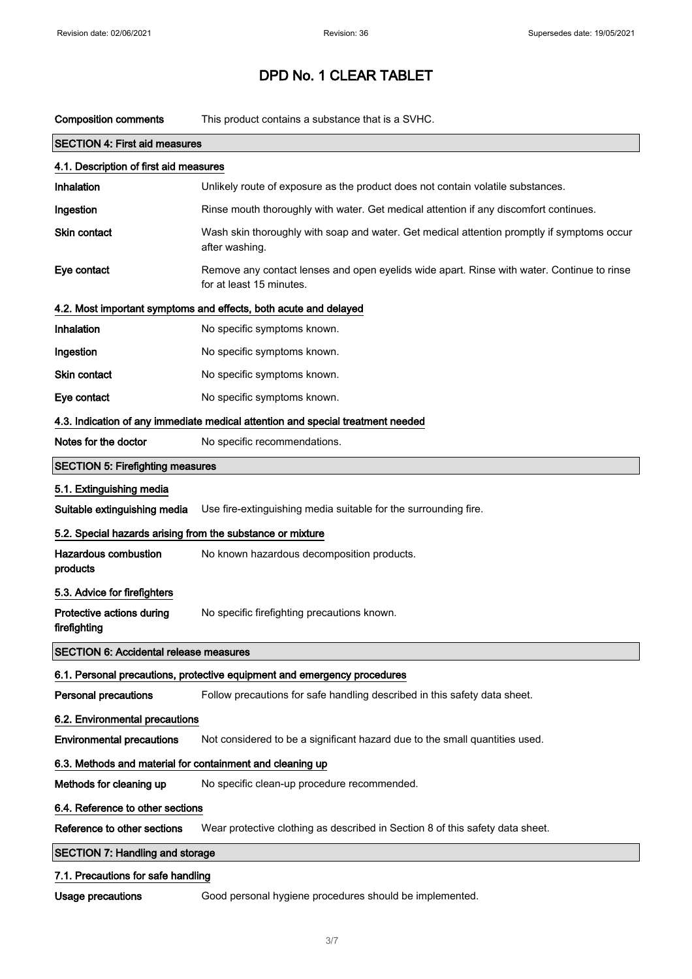| <b>Composition comments</b>                                | This product contains a substance that is a SVHC.                                                                      |
|------------------------------------------------------------|------------------------------------------------------------------------------------------------------------------------|
| <b>SECTION 4: First aid measures</b>                       |                                                                                                                        |
| 4.1. Description of first aid measures                     |                                                                                                                        |
| Inhalation                                                 | Unlikely route of exposure as the product does not contain volatile substances.                                        |
| Ingestion                                                  | Rinse mouth thoroughly with water. Get medical attention if any discomfort continues.                                  |
| <b>Skin contact</b>                                        | Wash skin thoroughly with soap and water. Get medical attention promptly if symptoms occur<br>after washing.           |
| Eye contact                                                | Remove any contact lenses and open eyelids wide apart. Rinse with water. Continue to rinse<br>for at least 15 minutes. |
|                                                            | 4.2. Most important symptoms and effects, both acute and delayed                                                       |
| Inhalation                                                 | No specific symptoms known.                                                                                            |
| Ingestion                                                  | No specific symptoms known.                                                                                            |
| Skin contact                                               | No specific symptoms known.                                                                                            |
| Eye contact                                                | No specific symptoms known.                                                                                            |
|                                                            | 4.3. Indication of any immediate medical attention and special treatment needed                                        |
| Notes for the doctor                                       | No specific recommendations.                                                                                           |
| <b>SECTION 5: Firefighting measures</b>                    |                                                                                                                        |
| 5.1. Extinguishing media                                   |                                                                                                                        |
| Suitable extinguishing media                               | Use fire-extinguishing media suitable for the surrounding fire.                                                        |
| 5.2. Special hazards arising from the substance or mixture |                                                                                                                        |
| <b>Hazardous combustion</b><br>products                    | No known hazardous decomposition products.                                                                             |
| 5.3. Advice for firefighters                               |                                                                                                                        |
| Protective actions during<br>firefighting                  | No specific firefighting precautions known.                                                                            |
| <b>SECTION 6: Accidental release measures</b>              |                                                                                                                        |
|                                                            | 6.1. Personal precautions, protective equipment and emergency procedures                                               |
| <b>Personal precautions</b>                                | Follow precautions for safe handling described in this safety data sheet.                                              |
| 6.2. Environmental precautions                             |                                                                                                                        |
| <b>Environmental precautions</b>                           | Not considered to be a significant hazard due to the small quantities used.                                            |
| 6.3. Methods and material for containment and cleaning up  |                                                                                                                        |
| Methods for cleaning up                                    | No specific clean-up procedure recommended.                                                                            |
| 6.4. Reference to other sections                           |                                                                                                                        |
| Reference to other sections                                | Wear protective clothing as described in Section 8 of this safety data sheet.                                          |
| <b>SECTION 7: Handling and storage</b>                     |                                                                                                                        |
| 7.1. Precautions for safe handling                         |                                                                                                                        |
| <b>Usage precautions</b>                                   | Good personal hygiene procedures should be implemented.                                                                |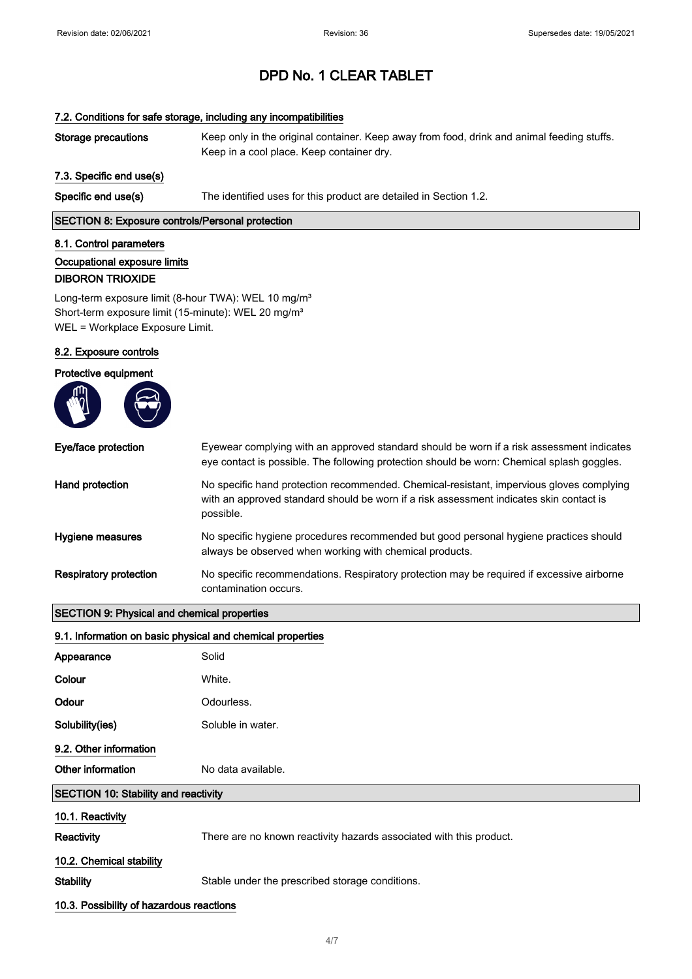## 7.2. Conditions for safe storage, including any incompatibilities

| Storage precautions | Keep only in the original container. Keep away from food, drink and animal feeding stuffs. |
|---------------------|--------------------------------------------------------------------------------------------|
|                     | Keep in a cool place. Keep container dry.                                                  |

## 7.3. Specific end use(s)

Specific end use(s) The identified uses for this product are detailed in Section 1.2.

## SECTION 8: Exposure controls/Personal protection

## 8.1. Control parameters

Occupational exposure limits DIBORON TRIOXIDE

Long-term exposure limit (8-hour TWA): WEL 10 mg/m<sup>3</sup> Short-term exposure limit (15-minute): WEL 20 mg/m<sup>3</sup> WEL = Workplace Exposure Limit.

## 8.2. Exposure controls

| Protective equipment                               |                                                                                                                                                                                                  |
|----------------------------------------------------|--------------------------------------------------------------------------------------------------------------------------------------------------------------------------------------------------|
|                                                    |                                                                                                                                                                                                  |
| Eye/face protection                                | Eyewear complying with an approved standard should be worn if a risk assessment indicates<br>eye contact is possible. The following protection should be worn: Chemical splash goggles.          |
| Hand protection                                    | No specific hand protection recommended. Chemical-resistant, impervious gloves complying<br>with an approved standard should be worn if a risk assessment indicates skin contact is<br>possible. |
| Hygiene measures                                   | No specific hygiene procedures recommended but good personal hygiene practices should<br>always be observed when working with chemical products.                                                 |
| <b>Respiratory protection</b>                      | No specific recommendations. Respiratory protection may be required if excessive airborne<br>contamination occurs.                                                                               |
| <b>SECTION 9: Physical and chemical properties</b> |                                                                                                                                                                                                  |

## 9.1. Information on basic physical and chemical properties

| Appearance                                  | Solid                                                               |
|---------------------------------------------|---------------------------------------------------------------------|
| Colour                                      | White.                                                              |
| Odour                                       | Odourless.                                                          |
| Solubility(ies)                             | Soluble in water.                                                   |
| 9.2. Other information                      |                                                                     |
| Other information                           | No data available.                                                  |
| <b>SECTION 10: Stability and reactivity</b> |                                                                     |
| 10.1. Reactivity                            |                                                                     |
| <b>Reactivity</b>                           | There are no known reactivity hazards associated with this product. |
| 10.2. Chemical stability                    |                                                                     |
| <b>Stability</b>                            | Stable under the prescribed storage conditions.                     |
| 10.3. Possibility of hazardous reactions    |                                                                     |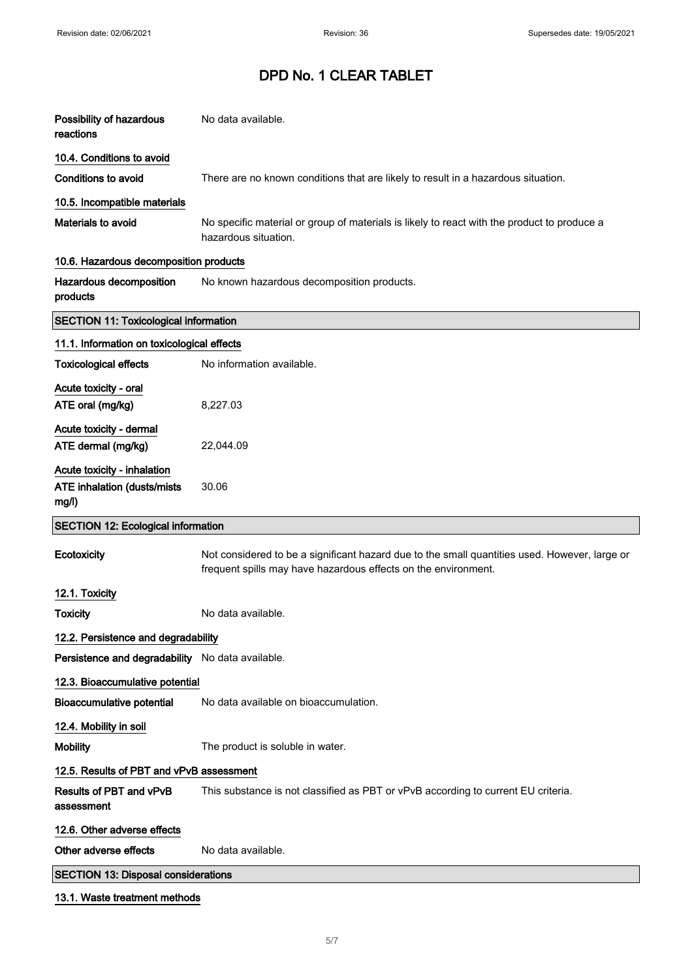| Possibility of hazardous<br>reactions                                       | No data available.                                                                                                                                              |
|-----------------------------------------------------------------------------|-----------------------------------------------------------------------------------------------------------------------------------------------------------------|
| 10.4. Conditions to avoid                                                   |                                                                                                                                                                 |
| <b>Conditions to avoid</b>                                                  | There are no known conditions that are likely to result in a hazardous situation.                                                                               |
| 10.5. Incompatible materials                                                |                                                                                                                                                                 |
| Materials to avoid                                                          | No specific material or group of materials is likely to react with the product to produce a<br>hazardous situation.                                             |
| 10.6. Hazardous decomposition products                                      |                                                                                                                                                                 |
| Hazardous decomposition<br>products                                         | No known hazardous decomposition products.                                                                                                                      |
| <b>SECTION 11: Toxicological information</b>                                |                                                                                                                                                                 |
| 11.1. Information on toxicological effects                                  |                                                                                                                                                                 |
| <b>Toxicological effects</b>                                                | No information available.                                                                                                                                       |
| Acute toxicity - oral<br>ATE oral (mg/kg)                                   | 8,227.03                                                                                                                                                        |
| Acute toxicity - dermal<br>ATE dermal (mg/kg)                               | 22,044.09                                                                                                                                                       |
| Acute toxicity - inhalation<br><b>ATE inhalation (dusts/mists)</b><br>mg/l) | 30.06                                                                                                                                                           |
|                                                                             |                                                                                                                                                                 |
| <b>SECTION 12: Ecological information</b>                                   |                                                                                                                                                                 |
| Ecotoxicity                                                                 | Not considered to be a significant hazard due to the small quantities used. However, large or<br>frequent spills may have hazardous effects on the environment. |
| 12.1. Toxicity                                                              |                                                                                                                                                                 |
| <b>Toxicity</b>                                                             | No data available.                                                                                                                                              |
| 12.2. Persistence and degradability                                         |                                                                                                                                                                 |
| Persistence and degradability No data available.                            |                                                                                                                                                                 |
| 12.3. Bioaccumulative potential                                             |                                                                                                                                                                 |
| <b>Bioaccumulative potential</b>                                            | No data available on bioaccumulation.                                                                                                                           |
| 12.4. Mobility in soil                                                      |                                                                                                                                                                 |
| <b>Mobility</b>                                                             | The product is soluble in water.                                                                                                                                |
| 12.5. Results of PBT and vPvB assessment                                    |                                                                                                                                                                 |
| Results of PBT and vPvB<br>assessment                                       | This substance is not classified as PBT or vPvB according to current EU criteria.                                                                               |
| 12.6. Other adverse effects                                                 |                                                                                                                                                                 |
| Other adverse effects                                                       | No data available.                                                                                                                                              |
| <b>SECTION 13: Disposal considerations</b>                                  |                                                                                                                                                                 |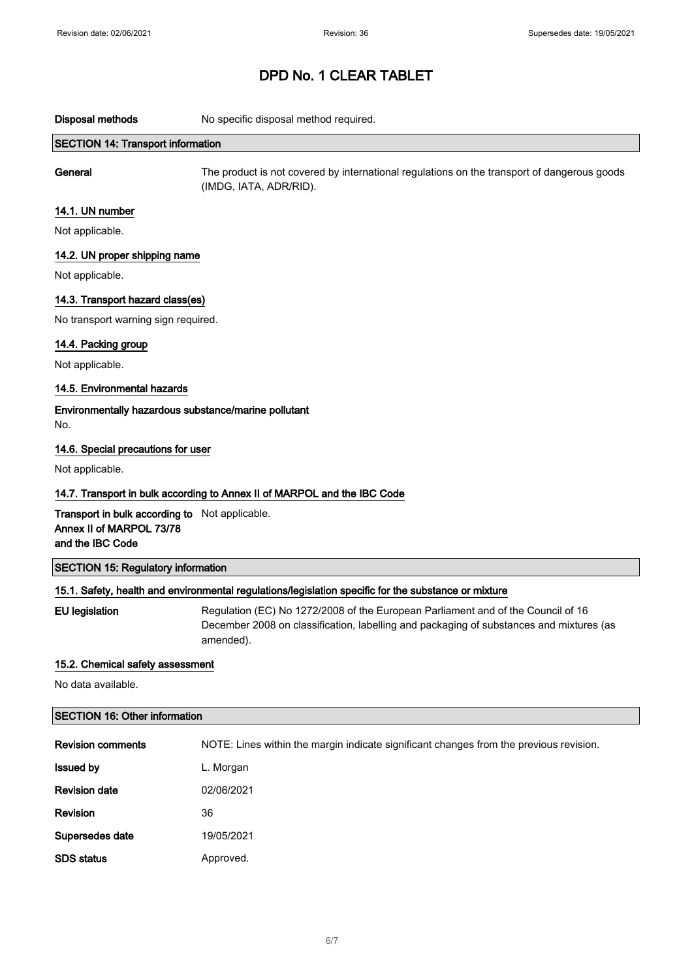Disposal methods No specific disposal method required.

## SECTION 14: Transport information

General The product is not covered by international regulations on the transport of dangerous goods (IMDG, IATA, ADR/RID).

## 14.1. UN number

Not applicable.

## 14.2. UN proper shipping name

Not applicable.

## 14.3. Transport hazard class(es)

No transport warning sign required.

## 14.4. Packing group

Not applicable.

## 14.5. Environmental hazards

Environmentally hazardous substance/marine pollutant No.

## 14.6. Special precautions for user

Not applicable.

## 14.7. Transport in bulk according to Annex II of MARPOL and the IBC Code

Transport in bulk according to Not applicable. Annex II of MARPOL 73/78 and the IBC Code

## SECTION 15: Regulatory information

## 15.1. Safety, health and environmental regulations/legislation specific for the substance or mixture

EU legislation Regulation (EC) No 1272/2008 of the European Parliament and of the Council of 16 December 2008 on classification, labelling and packaging of substances and mixtures (as amended).

## 15.2. Chemical safety assessment

No data available.

## SECTION 16: Other information

| <b>Revision comments</b> | NOTE: Lines within the margin indicate significant changes from the previous revision. |
|--------------------------|----------------------------------------------------------------------------------------|
| <b>Issued by</b>         | L. Morgan                                                                              |
| <b>Revision date</b>     | 02/06/2021                                                                             |
| <b>Revision</b>          | 36                                                                                     |
| Supersedes date          | 19/05/2021                                                                             |
| <b>SDS status</b>        | Approved.                                                                              |